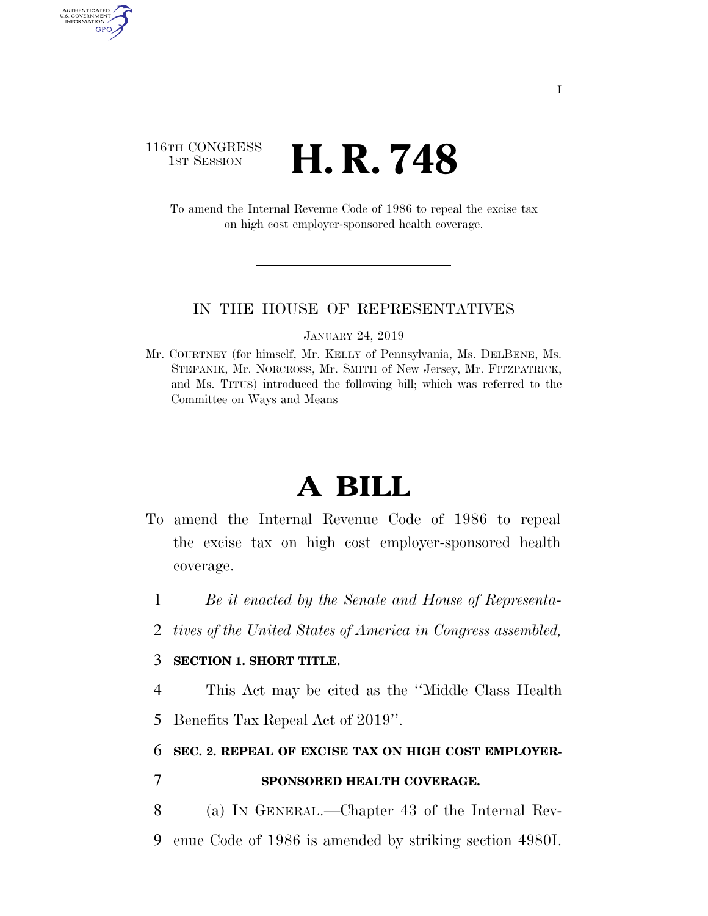## 116TH CONGRESS <sup>TH CONGRESS</sup> **H. R. 748**

To amend the Internal Revenue Code of 1986 to repeal the excise tax on high cost employer-sponsored health coverage.

#### IN THE HOUSE OF REPRESENTATIVES

JANUARY 24, 2019

Mr. COURTNEY (for himself, Mr. KELLY of Pennsylvania, Ms. DELBENE, Ms. STEFANIK, Mr. NORCROSS, Mr. SMITH of New Jersey, Mr. FITZPATRICK, and Ms. TITUS) introduced the following bill; which was referred to the Committee on Ways and Means

# **A BILL**

- To amend the Internal Revenue Code of 1986 to repeal the excise tax on high cost employer-sponsored health coverage.
	- 1 *Be it enacted by the Senate and House of Representa-*
	- 2 *tives of the United States of America in Congress assembled,*

#### 3 **SECTION 1. SHORT TITLE.**

4 This Act may be cited as the ''Middle Class Health 5 Benefits Tax Repeal Act of 2019''.

#### 6 **SEC. 2. REPEAL OF EXCISE TAX ON HIGH COST EMPLOYER-**

AUTHENTICATED<br>U.S. GOVERNMENT<br>INFORMATION **GPO** 

### 7 **SPONSORED HEALTH COVERAGE.**

- 8 (a) IN GENERAL.—Chapter 43 of the Internal Rev-
- 9 enue Code of 1986 is amended by striking section 4980I.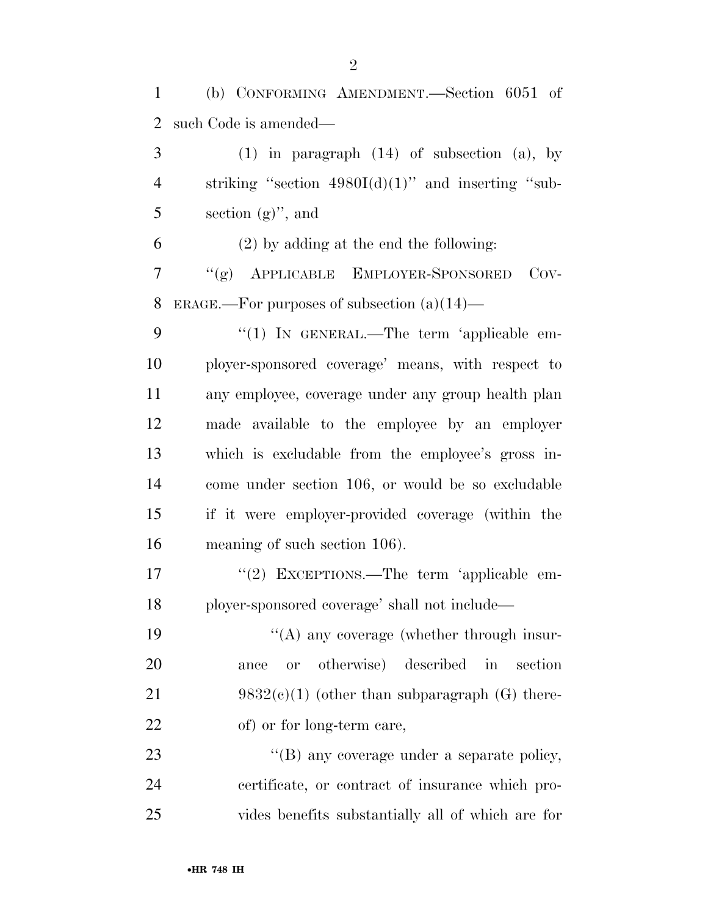(b) CONFORMING AMENDMENT.—Section 6051 of such Code is amended— (1) in paragraph (14) of subsection (a), by 4 striking "section  $4980I(d)(1)$ " and inserting "sub- $5 \qquad \text{section (g)''}$ , and (2) by adding at the end the following: ''(g) APPLICABLE EMPLOYER-SPONSORED COV- ERAGE.—For purposes of subsection (a)(14)— 9 "(1) IN GENERAL.—The term 'applicable em- ployer-sponsored coverage' means, with respect to any employee, coverage under any group health plan made available to the employee by an employer which is excludable from the employee's gross in- come under section 106, or would be so excludable if it were employer-provided coverage (within the meaning of such section 106). 17 "(2) EXCEPTIONS.—The term 'applicable em- ployer-sponsored coverage' shall not include— 19 ''(A) any coverage (whether through insur-

 ance or otherwise) described in section 21 9832 $(e)(1)$  (other than subparagraph  $(G)$  there-22 of) or for long-term care,

23  $\cdot$  (B) any coverage under a separate policy, certificate, or contract of insurance which pro-vides benefits substantially all of which are for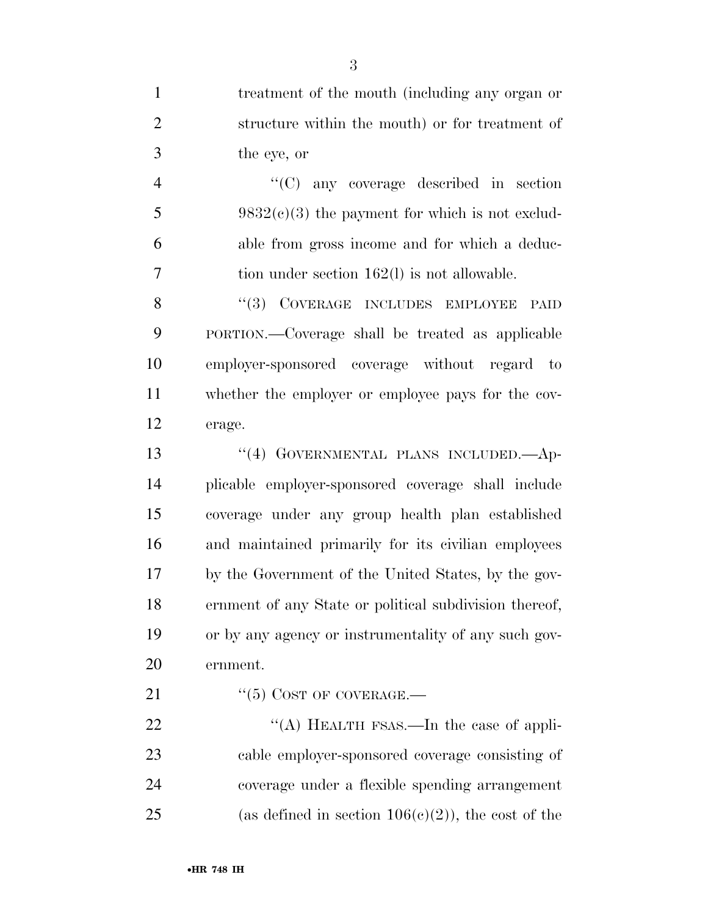treatment of the mouth (including any organ or structure within the mouth) or for treatment of the eye, or ''(C) any coverage described in section 5 9832(c)(3) the payment for which is not exclud- able from gross income and for which a deduc- tion under section 162(l) is not allowable. 8 "(3) COVERAGE INCLUDES EMPLOYEE PAID PORTION.—Coverage shall be treated as applicable employer-sponsored coverage without regard to whether the employer or employee pays for the cov- erage. 13 "(4) GOVERNMENTAL PLANS INCLUDED. Ap- plicable employer-sponsored coverage shall include coverage under any group health plan established and maintained primarily for its civilian employees by the Government of the United States, by the gov- ernment of any State or political subdivision thereof, or by any agency or instrumentality of any such gov- ernment.  $"(5)$  COST OF COVERAGE.— 22 "(A) HEALTH FSAS.—In the case of appli- cable employer-sponsored coverage consisting of coverage under a flexible spending arrangement

25 (as defined in section  $106(c)(2)$ ), the cost of the